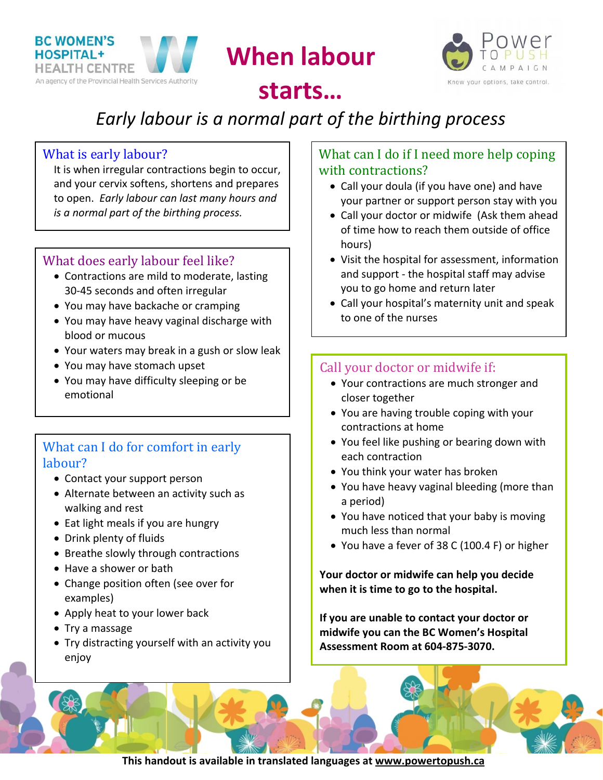

**When labour**



## **starts…**

# *Early labour is a normal part of the birthing process*

#### What is early labour?

It is when irregular contractions begin to occur, and your cervix softens, shortens and prepares to open. *Early labour can last many hours and is a normal part of the birthing process.*

#### What does early labour feel like?

- Contractions are mild to moderate, lasting 30‐45 seconds and often irregular
- You may have backache or cramping
- You may have heavy vaginal discharge with blood or mucous
- Your waters may break in a gush or slow leak
- You may have stomach upset
- You may have difficulty sleeping or be emotional

#### What can I do for comfort in early labour?

- Contact your support person
- Alternate between an activity such as walking and rest
- Eat light meals if you are hungry
- Drink plenty of fluids
- Breathe slowly through contractions
- Have a shower or bath
- Change position often (see over for examples)
- Apply heat to your lower back
- Try a massage
- Try distracting yourself with an activity you enjoy

#### What can I do if I need more help coping with contractions?

- Call your doula (if you have one) and have your partner or support person stay with you
- Call your doctor or midwife (Ask them ahead of time how to reach them outside of office hours)
- Visit the hospital for assessment, information and support ‐ the hospital staff may advise you to go home and return later
- Call your hospital's maternity unit and speak to one of the nurses

### Call your doctor or midwife if:

- Your contractions are much stronger and closer together
- You are having trouble coping with your contractions at home
- You feel like pushing or bearing down with each contraction
- You think your water has broken
- You have heavy vaginal bleeding (more than a period)
- You have noticed that your baby is moving much less than normal
- You have a fever of 38 C (100.4 F) or higher

**Your doctor or midwife can help you decide when it is time to go to the hospital.**

**If you are unable to contact your doctor or midwife you can the BC Women's Hospital Assessment Room at 604‐875‐3070.**

**This handout is available in translated languages at www.powertopush.ca**